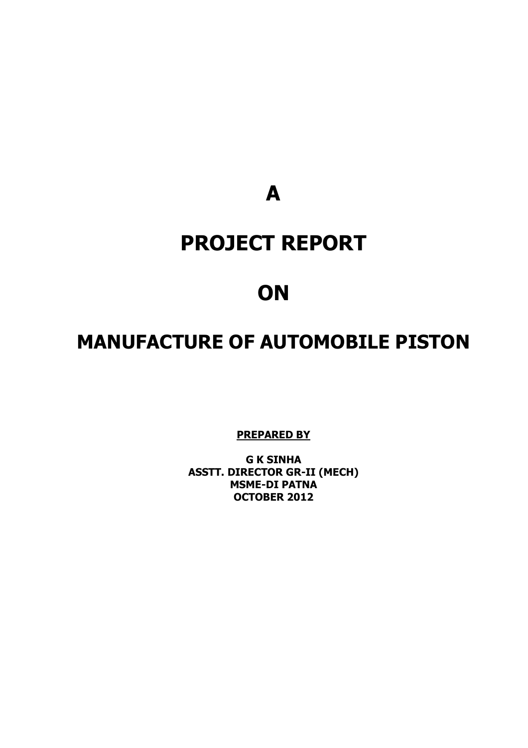**A** 

# **PROJECT REPORT**

# **ON**

# **MANUFACTURE OF AUTOMOBILE PISTON**

**PREPARED BY**

**G K SINHA ASSTT. DIRECTOR GR-II (MECH) MSME-DI PATNA OCTOBER 2012**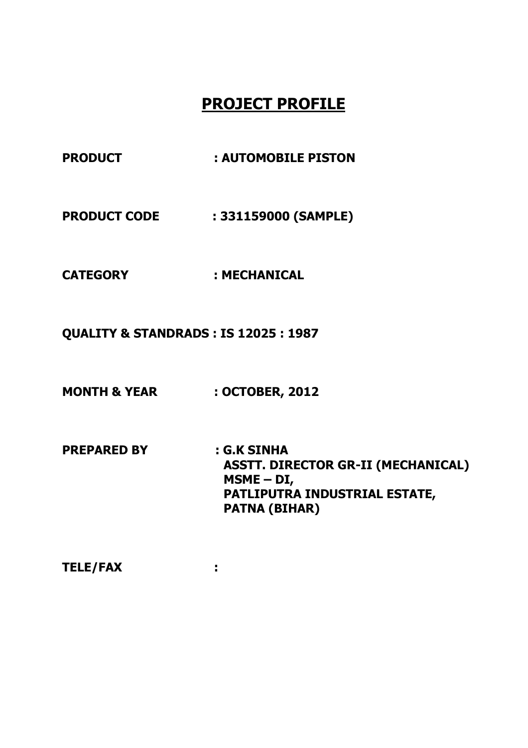# **PROJECT PROFILE**

- PRODUCT : AUTOMOBILE PISTON
- **PRODUCT CODE : 331159000 (SAMPLE)**
- **CATEGORY : MECHANICAL**
- **QUALITY & STANDRADS : IS 12025 : 1987**
- **MONTH & YEAR : OCTOBER, 2012**
- **PREPARED BY : G.K SINHA ASSTT. DIRECTOR GR-II (MECHANICAL) MSME – DI, PATLIPUTRA INDUSTRIAL ESTATE, PATNA (BIHAR)**
- **TELE/FAX :**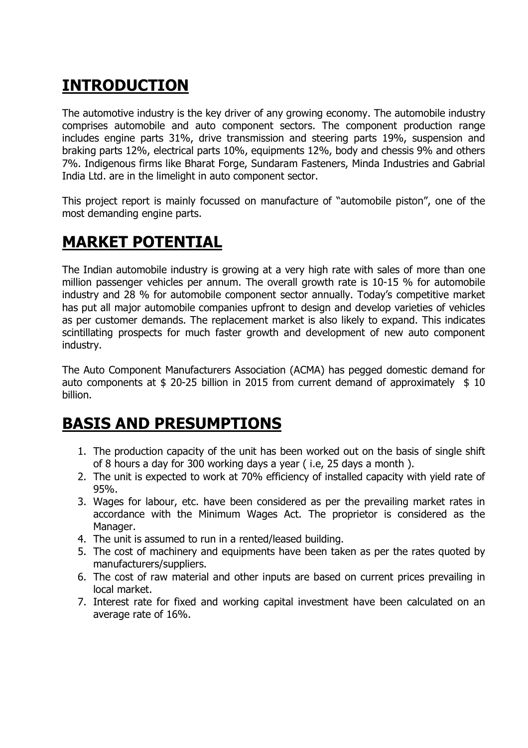# **INTRODUCTION**

The automotive industry is the key driver of any growing economy. The automobile industry comprises automobile and auto component sectors. The component production range includes engine parts 31%, drive transmission and steering parts 19%, suspension and braking parts 12%, electrical parts 10%, equipments 12%, body and chessis 9% and others 7%. Indigenous firms like Bharat Forge, Sundaram Fasteners, Minda Industries and Gabrial India Ltd. are in the limelight in auto component sector.

This project report is mainly focussed on manufacture of "automobile piston", one of the most demanding engine parts.

# **MARKET POTENTIAL**

The Indian automobile industry is growing at a very high rate with sales of more than one million passenger vehicles per annum. The overall growth rate is 10-15 % for automobile industry and 28 % for automobile component sector annually. Today's competitive market has put all major automobile companies upfront to design and develop varieties of vehicles as per customer demands. The replacement market is also likely to expand. This indicates scintillating prospects for much faster growth and development of new auto component industry.

The Auto Component Manufacturers Association (ACMA) has pegged domestic demand for auto components at  $$$  20-25 billion in 2015 from current demand of approximately  $$$  10 billion.

# **BASIS AND PRESUMPTIONS**

- 1. The production capacity of the unit has been worked out on the basis of single shift of 8 hours a day for 300 working days a year ( i.e, 25 days a month ).
- 2. The unit is expected to work at 70% efficiency of installed capacity with yield rate of 95%.
- 3. Wages for labour, etc. have been considered as per the prevailing market rates in accordance with the Minimum Wages Act. The proprietor is considered as the Manager.
- 4. The unit is assumed to run in a rented/leased building.
- 5. The cost of machinery and equipments have been taken as per the rates quoted by manufacturers/suppliers.
- 6. The cost of raw material and other inputs are based on current prices prevailing in local market.
- 7. Interest rate for fixed and working capital investment have been calculated on an average rate of 16%.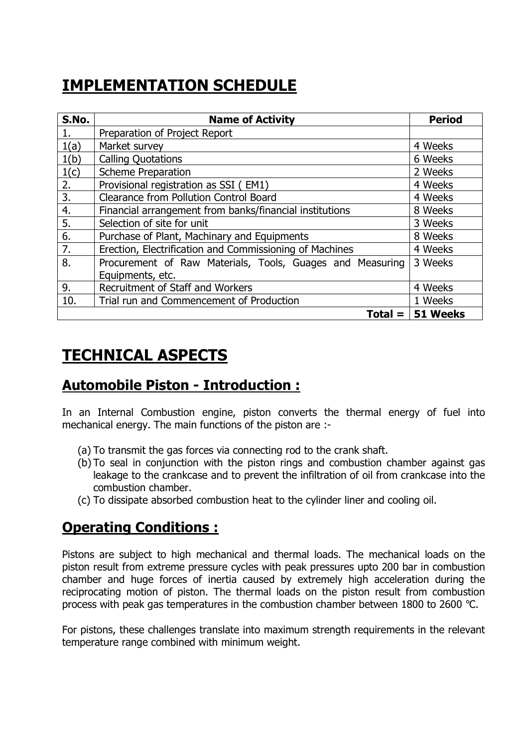# **IMPLEMENTATION SCHEDULE**

| S.No. | <b>Name of Activity</b>                                   | <b>Period</b> |
|-------|-----------------------------------------------------------|---------------|
| 1.    | Preparation of Project Report                             |               |
| 1(a)  | Market survey                                             | 4 Weeks       |
| 1(b)  | <b>Calling Quotations</b>                                 | 6 Weeks       |
| 1(c)  | <b>Scheme Preparation</b>                                 | 2 Weeks       |
| 2.    | Provisional registration as SSI (EM1)                     | 4 Weeks       |
| 3.    | <b>Clearance from Pollution Control Board</b>             | 4 Weeks       |
| 4.    | Financial arrangement from banks/financial institutions   | 8 Weeks       |
| 5.    | Selection of site for unit                                | 3 Weeks       |
| 6.    | Purchase of Plant, Machinary and Equipments               | 8 Weeks       |
| 7.    | Erection, Electrification and Commissioning of Machines   | 4 Weeks       |
| 8.    | Procurement of Raw Materials, Tools, Guages and Measuring | 3 Weeks       |
|       | Equipments, etc.                                          |               |
| 9.    | Recruitment of Staff and Workers                          | 4 Weeks       |
| 10.   | Trial run and Commencement of Production                  | 1 Weeks       |
|       | $Total =  $                                               | 51 Weeks      |

# **TECHNICAL ASPECTS**

## **Automobile Piston - Introduction :**

In an Internal Combustion engine, piston converts the thermal energy of fuel into mechanical energy. The main functions of the piston are :-

- (a) To transmit the gas forces via connecting rod to the crank shaft.
- (b) To seal in conjunction with the piston rings and combustion chamber against gas leakage to the crankcase and to prevent the infiltration of oil from crankcase into the combustion chamber.
- (c) To dissipate absorbed combustion heat to the cylinder liner and cooling oil.

## **Operating Conditions :**

Pistons are subject to high mechanical and thermal loads. The mechanical loads on the piston result from extreme pressure cycles with peak pressures upto 200 bar in combustion chamber and huge forces of inertia caused by extremely high acceleration during the reciprocating motion of piston. The thermal loads on the piston result from combustion process with peak gas temperatures in the combustion chamber between 1800 to 2600 °C.

For pistons, these challenges translate into maximum strength requirements in the relevant temperature range combined with minimum weight.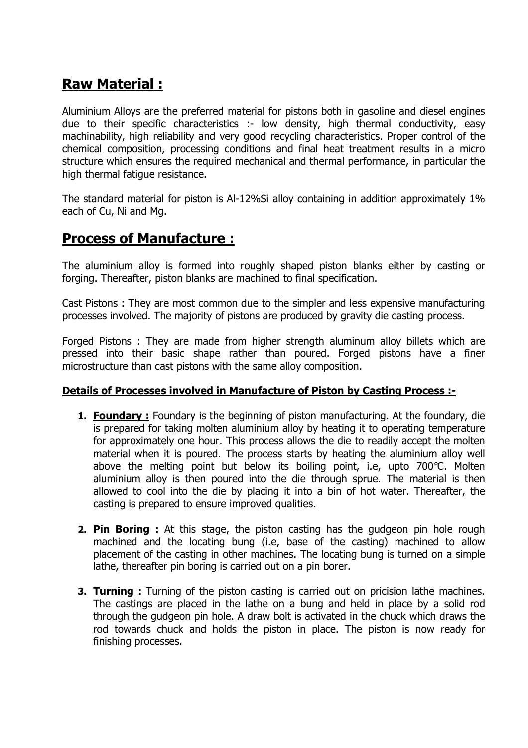## **Raw Material :**

Aluminium Alloys are the preferred material for pistons both in gasoline and diesel engines due to their specific characteristics :- low density, high thermal conductivity, easy machinability, high reliability and very good recycling characteristics. Proper control of the chemical composition, processing conditions and final heat treatment results in a micro structure which ensures the required mechanical and thermal performance, in particular the high thermal fatigue resistance.

The standard material for piston is Al-12%Si alloy containing in addition approximately 1% each of Cu, Ni and Mg.

### **Process of Manufacture :**

The aluminium alloy is formed into roughly shaped piston blanks either by casting or forging. Thereafter, piston blanks are machined to final specification.

Cast Pistons : They are most common due to the simpler and less expensive manufacturing processes involved. The majority of pistons are produced by gravity die casting process.

Forged Pistons : They are made from higher strength aluminum alloy billets which are pressed into their basic shape rather than poured. Forged pistons have a finer microstructure than cast pistons with the same alloy composition.

#### **Details of Processes involved in Manufacture of Piston by Casting Process :-**

- **1. Foundary :** Foundary is the beginning of piston manufacturing. At the foundary, die is prepared for taking molten aluminium alloy by heating it to operating temperature for approximately one hour. This process allows the die to readily accept the molten material when it is poured. The process starts by heating the aluminium alloy well above the melting point but below its boiling point, i.e, upto 700°C. Molten aluminium alloy is then poured into the die through sprue. The material is then allowed to cool into the die by placing it into a bin of hot water. Thereafter, the casting is prepared to ensure improved qualities.
- **2. Pin Boring :** At this stage, the piston casting has the gudgeon pin hole rough machined and the locating bung (i.e, base of the casting) machined to allow placement of the casting in other machines. The locating bung is turned on a simple lathe, thereafter pin boring is carried out on a pin borer.
- **3. Turning :** Turning of the piston casting is carried out on pricision lathe machines. The castings are placed in the lathe on a bung and held in place by a solid rod through the gudgeon pin hole. A draw bolt is activated in the chuck which draws the rod towards chuck and holds the piston in place. The piston is now ready for finishing processes.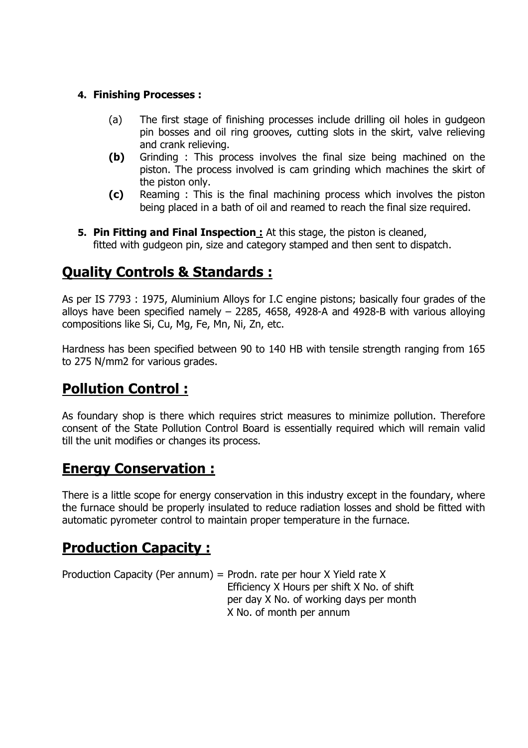#### **4. Finishing Processes :**

- (a) The first stage of finishing processes include drilling oil holes in gudgeon pin bosses and oil ring grooves, cutting slots in the skirt, valve relieving and crank relieving.
- **(b)** Grinding : This process involves the final size being machined on the piston. The process involved is cam grinding which machines the skirt of the piston only.
- **(c)** Reaming : This is the final machining process which involves the piston being placed in a bath of oil and reamed to reach the final size required.
- **5. Pin Fitting and Final Inspection :** At this stage, the piston is cleaned, fitted with gudgeon pin, size and category stamped and then sent to dispatch.

## **Quality Controls & Standards :**

As per IS 7793 : 1975, Aluminium Alloys for I.C engine pistons; basically four grades of the alloys have been specified namely  $-$  2285, 4658, 4928-A and 4928-B with various alloying compositions like Si, Cu, Mg, Fe, Mn, Ni, Zn, etc.

Hardness has been specified between 90 to 140 HB with tensile strength ranging from 165 to 275 N/mm2 for various grades.

## **Pollution Control :**

As foundary shop is there which requires strict measures to minimize pollution. Therefore consent of the State Pollution Control Board is essentially required which will remain valid till the unit modifies or changes its process.

## **Energy Conservation :**

There is a little scope for energy conservation in this industry except in the foundary, where the furnace should be properly insulated to reduce radiation losses and shold be fitted with automatic pyrometer control to maintain proper temperature in the furnace.

## **Production Capacity :**

Production Capacity (Per annum) = Prodn. rate per hour X Yield rate X Efficiency X Hours per shift X No. of shift per day X No. of working days per month X No. of month per annum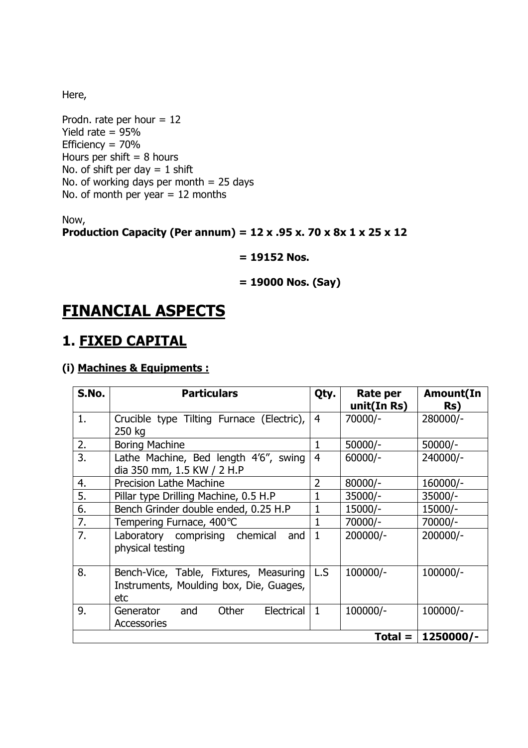Here,

Prodn. rate per hour  $= 12$ Yield rate  $= 95%$ Efficiency = 70% Hours per shift  $= 8$  hours No. of shift per day  $= 1$  shift No. of working days per month = 25 days No. of month per year  $= 12$  months

Now,

#### **Production Capacity (Per annum) = 12 x .95 x. 70 x 8x 1 x 25 x 12**

#### **= 19152 Nos.**

#### **= 19000 Nos. (Say)**

## **FINANCIAL ASPECTS**

### **1. FIXED CAPITAL**

#### **(i) Machines & Equipments :**

| S.No. | <b>Particulars</b>                                                                       | Qty.           | Rate per<br>unit(In Rs) | <b>Amount(In</b><br>Rs) |
|-------|------------------------------------------------------------------------------------------|----------------|-------------------------|-------------------------|
| 1.    | Crucible type Tilting Furnace (Electric),<br>250 kg                                      | 4              | 70000/-                 | 280000/-                |
| 2.    | <b>Boring Machine</b>                                                                    | 1              | $50000/-$               | $50000/-$               |
| 3.    | Lathe Machine, Bed length 4'6", swing<br>dia 350 mm, 1.5 KW / 2 H.P                      | $\overline{4}$ | $60000/-$               | 240000/-                |
| 4.    | <b>Precision Lathe Machine</b>                                                           | $\overline{2}$ | $80000/-$               | 160000/-                |
| 5.    | Pillar type Drilling Machine, 0.5 H.P                                                    | 1              | $35000/-$               | $35000/-$               |
| 6.    | Bench Grinder double ended, 0.25 H.P                                                     | 1              | 15000/-                 | 15000/-                 |
| 7.    | Tempering Furnace, 400°C                                                                 | 1              | 70000/-                 | 70000/-                 |
| 7.    | Laboratory comprising chemical<br>and<br>physical testing                                | $\mathbf{1}$   | 200000/-                | 200000/-                |
| 8.    | Bench-Vice, Table, Fixtures, Measuring<br>Instruments, Moulding box, Die, Guages,<br>etc | L.S            | 100000/-                | 100000/-                |
| 9.    | Other<br>Electrical<br>and<br>Generator<br><b>Accessories</b>                            | $\mathbf{1}$   | 100000/-                | 100000/-                |
|       |                                                                                          |                | $Total =  $             | 1250000/-               |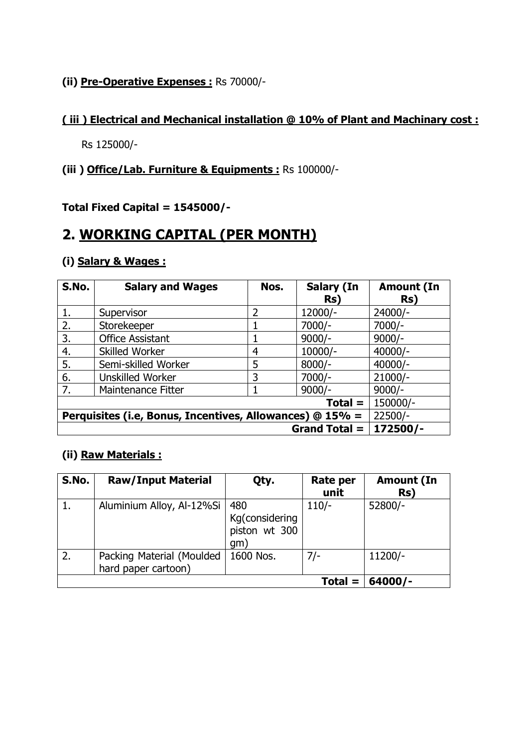#### **(ii) Pre-Operative Expenses :** Rs 70000/-

#### **( iii ) Electrical and Mechanical installation @ 10% of Plant and Machinary cost :**

Rs 125000/-

#### **(iii ) Office/Lab. Furniture & Equipments :** Rs 100000/-

**Total Fixed Capital = 1545000/-** 

### **2. WORKING CAPITAL (PER MONTH)**

#### **(i) Salary & Wages :**

| S.No.                                                    | <b>Salary and Wages</b> | Nos.           | <b>Salary (In</b> | <b>Amount (In</b> |
|----------------------------------------------------------|-------------------------|----------------|-------------------|-------------------|
|                                                          |                         |                | Rs)               | Rs)               |
| 1.                                                       | Supervisor              | $\overline{2}$ | 12000/-           | 24000/-           |
| 2.                                                       | Storekeeper             |                | $7000/-$          | $7000/-$          |
| 3.                                                       | <b>Office Assistant</b> |                | $9000/-$          | $9000/-$          |
| 4.                                                       | <b>Skilled Worker</b>   | 4              | $10000/-$         | $40000/-$         |
| 5.                                                       | Semi-skilled Worker     | 5              | $8000/-$          | $40000/-$         |
| 6.                                                       | <b>Unskilled Worker</b> | 3              | $7000/-$          | $21000/-$         |
| 7.                                                       | Maintenance Fitter      |                | $9000/-$          | $9000/-$          |
| $Total =$                                                |                         |                |                   | 150000/-          |
| Perquisites (i.e, Bonus, Incentives, Allowances) @ 15% = |                         |                |                   | $22500/-$         |
| <b>Grand Total =</b>                                     |                         |                |                   | 172500/-          |

#### **(ii) Raw Materials :**

| S.No. | <b>Raw/Input Material</b>                        | Qty.                                          | Rate per<br>unit | <b>Amount (In</b><br>Rs) |
|-------|--------------------------------------------------|-----------------------------------------------|------------------|--------------------------|
|       | Aluminium Alloy, Al-12%Si                        | 480<br>Kg(considering<br>piston wt 300<br>qm) | $110/-$          | 52800/-                  |
| 2.    | Packing Material (Moulded<br>hard paper cartoon) | 1600 Nos.                                     | $7/-$            | 11200/-                  |
|       |                                                  |                                               | $Total =$        | $64000/-$                |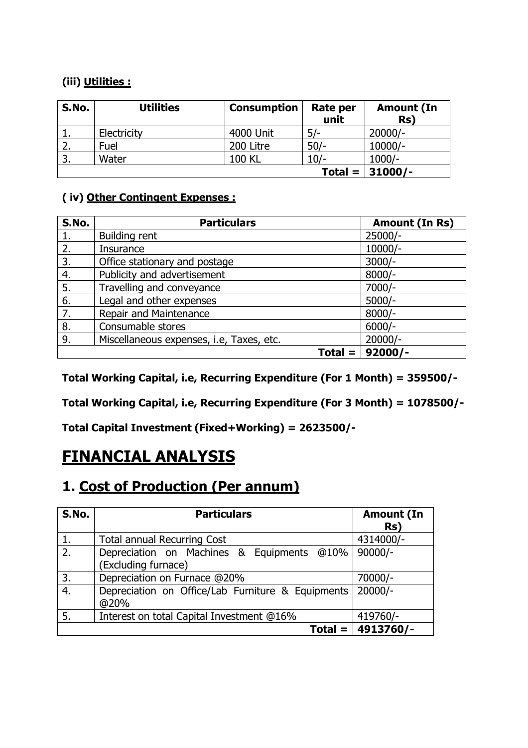### **(iii) Utilities :**

| S.No. | <b>Utilities</b> | <b>Consumption</b> | Rate per<br>unit | <b>Amount (In</b><br>Rs) |
|-------|------------------|--------------------|------------------|--------------------------|
|       | Electricity      | 4000 Unit          | $5/-$            | $20000/-$                |
| z.    | Fuel             | 200 Litre          | $50/-$           | $10000/-$                |
| 3.    | Water            | <b>100 KL</b>      | 10/-             | $1000/-$                 |
|       |                  |                    | $Total =$        | $31000/-$                |

### **( iv) Other Contingent Expenses :**

| S.No. | <b>Particulars</b>                       | Amount (In Rs) |
|-------|------------------------------------------|----------------|
| 1.    | <b>Building rent</b>                     | $25000/-$      |
| 2.    | Insurance                                | $10000/-$      |
| 3.    | Office stationary and postage            | $3000/-$       |
| 4.    | Publicity and advertisement              | $8000/-$       |
| 5.    | Travelling and conveyance                | 7000/-         |
| 6.    | Legal and other expenses                 | $5000/-$       |
| 7.    | Repair and Maintenance                   | $8000/-$       |
| 8.    | Consumable stores                        | $6000/-$       |
| 9.    | Miscellaneous expenses, i.e, Taxes, etc. | $20000/-$      |
|       | $Total =$                                | $92000/-$      |

**Total Working Capital, i.e, Recurring Expenditure (For 1 Month) = 359500/-** 

**Total Working Capital, i.e, Recurring Expenditure (For 3 Month) = 1078500/-** 

**Total Capital Investment (Fixed+Working) = 2623500/-** 

# **FINANCIAL ANALYSIS**

## **1. Cost of Production (Per annum)**

| S.No. | <b>Particulars</b>                                | <b>Amount (In</b>    |
|-------|---------------------------------------------------|----------------------|
|       |                                                   | Rs)                  |
| 1.    | <b>Total annual Recurring Cost</b>                | 4314000/-            |
| 2.    | Depreciation on Machines & Equipments @10%        | $90000/-$            |
|       | (Excluding furnace)                               |                      |
| 3.    | Depreciation on Furnace @20%                      | 70000/-              |
| 4.    | Depreciation on Office/Lab Furniture & Equipments | $20000/-$            |
|       | @20%                                              |                      |
| 5.    | Interest on total Capital Investment @16%         | 419760/-             |
|       |                                                   | Total = $ 4913760/-$ |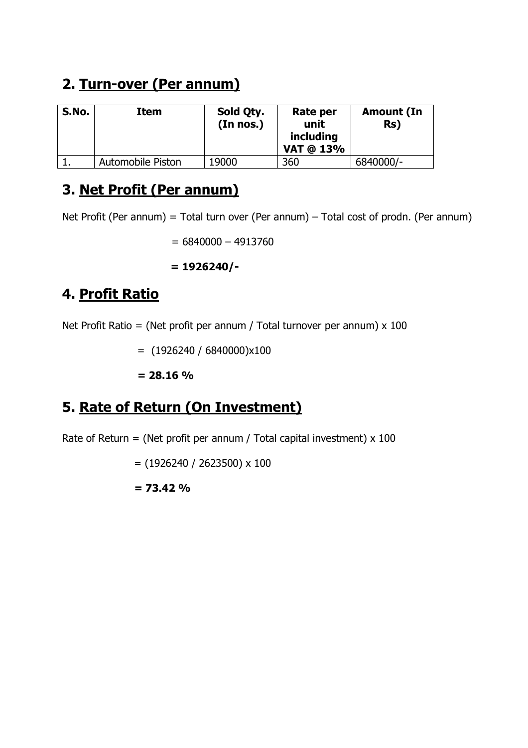## **2. Turn-over (Per annum)**

| S.No. | Item                     | Sold Qty.<br>(In nos.) | Rate per<br>unit<br>including<br>VAT @ 13% | <b>Amount (In</b><br>Rs) |
|-------|--------------------------|------------------------|--------------------------------------------|--------------------------|
|       | <b>Automobile Piston</b> | 19000                  | 360                                        | 6840000/-                |

## **3. Net Profit (Per annum)**

Net Profit (Per annum) = Total turn over (Per annum) – Total cost of prodn. (Per annum)

 $= 6840000 - 4913760$ 

**= 1926240/-** 

# **4. Profit Ratio**

Net Profit Ratio = (Net profit per annum / Total turnover per annum)  $\times$  100

 $=$  (1926240 / 6840000)x100

**= 28.16 %**

## **5. Rate of Return (On Investment)**

Rate of Return = (Net profit per annum / Total capital investment)  $x$  100

 $=$  (1926240 / 2623500) x 100

**= 73.42 %**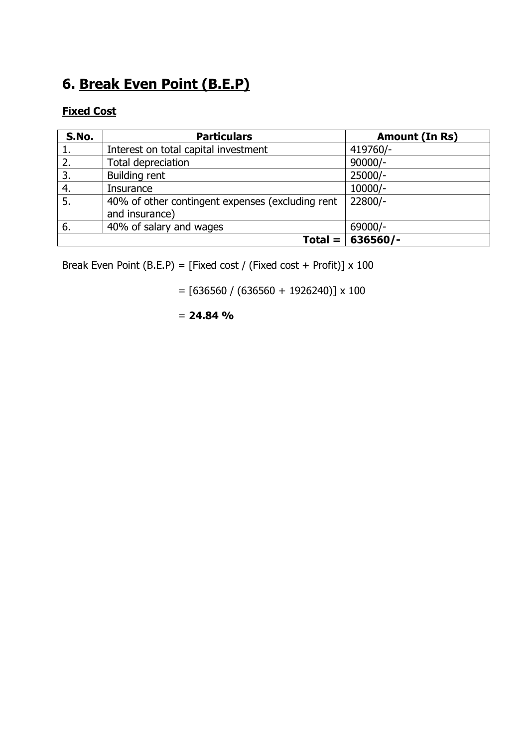# **6. Break Even Point (B.E.P)**

### **Fixed Cost**

| S.No. | <b>Particulars</b>                               | Amount (In Rs) |
|-------|--------------------------------------------------|----------------|
| ı.    | Interest on total capital investment             | 419760/-       |
| 2.    | Total depreciation                               | $90000/-$      |
| 3.    | <b>Building rent</b>                             | $25000/-$      |
| 4.    | Insurance                                        | $10000/-$      |
| 5.    | 40% of other contingent expenses (excluding rent | 22800/-        |
|       | and insurance)                                   |                |
| 6.    | 40% of salary and wages                          | 69000/-        |
|       | $Total =$                                        | 636560/-       |

Break Even Point (B.E.P) = [Fixed cost / (Fixed cost + Profit)]  $\times$  100

 $=$  [636560 / (636560 + 1926240)] x 100

= **24.84 %**